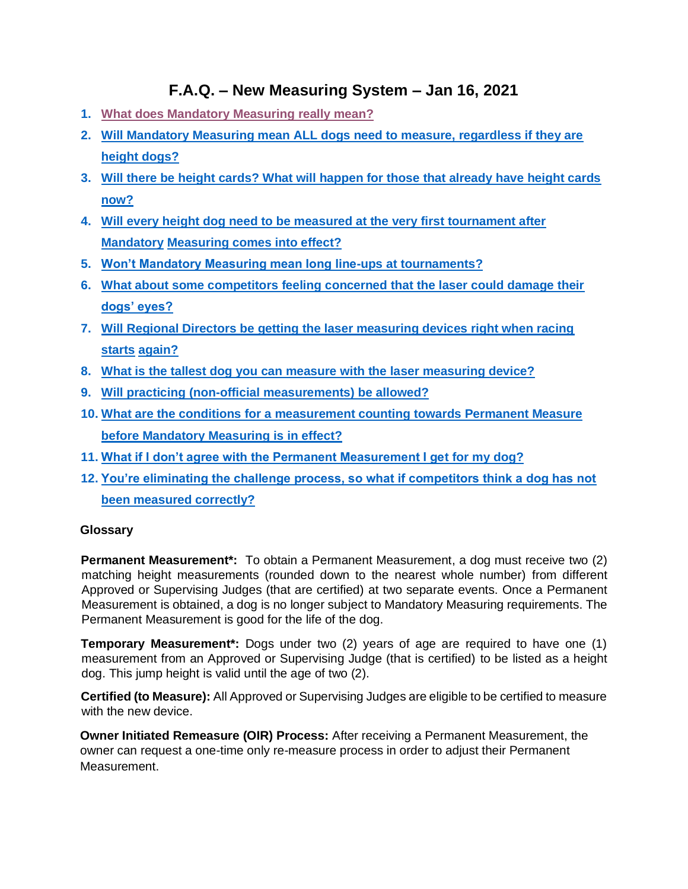# **F.A.Q. – New Measuring System – Jan 16, 2021**

- **1. What does Mandatory Measuring really mean?**
- **2. Will Mandatory Measuring mean ALL dogs need to measure, regardless if they are height dogs?**
- **3. Will there be height cards? What will happen for those that already have height cards now?**
- **4. Will every height dog need to be measured at the very first tournament after Mandatory Measuring comes into effect?**
- **5. Won't Mandatory Measuring mean long line-ups at tournaments?**
- **6. What about some competitors feeling concerned that the laser could damage their dogs' eyes?**
- **7. Will Regional Directors be getting the laser measuring devices right when racing starts again?**
- **8. What is the tallest dog you can measure with the laser measuring device?**
- **9. Will practicing (non-official measurements) be allowed?**
- **10. What are the conditions for a measurement counting towards Permanent Measure before Mandatory Measuring is in effect?**
- **11. What if I don't agree with the Permanent Measurement I get for my dog?**
- **12. You're eliminating the challenge process, so what if competitors think a dog has not been measured correctly?**

# **Glossary**

**Permanent Measurement\*:** To obtain a Permanent Measurement, a dog must receive two (2) matching height measurements (rounded down to the nearest whole number) from different Approved or Supervising Judges (that are certified) at two separate events. Once a Permanent Measurement is obtained, a dog is no longer subject to Mandatory Measuring requirements. The Permanent Measurement is good for the life of the dog.

**Temporary Measurement\*:** Dogs under two (2) years of age are required to have one (1) measurement from an Approved or Supervising Judge (that is certified) to be listed as a height dog. This jump height is valid until the age of two (2).

**Certified (to Measure):** All Approved or Supervising Judges are eligible to be certified to measure with the new device.

**Owner Initiated Remeasure (OIR) Process:** After receiving a Permanent Measurement, the owner can request a one-time only re-measure process in order to adjust their Permanent **Measurement**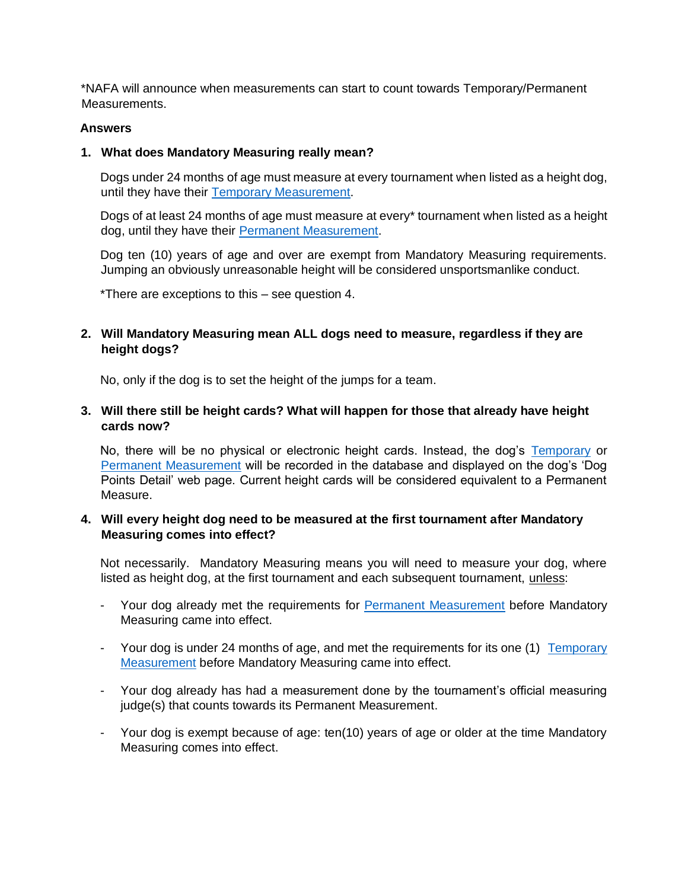\*NAFA will announce when measurements can start to count towards Temporary/Permanent Measurements.

#### **Answers**

#### **1. What does Mandatory Measuring really mean?**

Dogs under 24 months of age must measure at every tournament when listed as a height dog, until they have their Temporary Measurement.

Dogs of at least 24 months of age must measure at every\* tournament when listed as a height dog, until they have their Permanent Measurement.

Dog ten (10) years of age and over are exempt from Mandatory Measuring requirements. Jumping an obviously unreasonable height will be considered unsportsmanlike conduct.

\*There are exceptions to this – see question 4.

**2. Will Mandatory Measuring mean ALL dogs need to measure, regardless if they are height dogs?** 

No, only if the dog is to set the height of the jumps for a team.

**3. Will there still be height cards? What will happen for those that already have height cards now?** 

No, there will be no physical or electronic height cards. Instead, the dog's Temporary or Permanent Measurement will be recorded in the database and displayed on the dog's 'Dog Points Detail' web page. Current height cards will be considered equivalent to a Permanent Measure.

### **4. Will every height dog need to be measured at the first tournament after Mandatory Measuring comes into effect?**

Not necessarily. Mandatory Measuring means you will need to measure your dog, where listed as height dog, at the first tournament and each subsequent tournament, unless:

- Your dog already met the requirements for Permanent Measurement before Mandatory Measuring came into effect.
- Your dog is under 24 months of age, and met the requirements for its one (1) Temporary Measurement before Mandatory Measuring came into effect.
- Your dog already has had a measurement done by the tournament's official measuring judge(s) that counts towards its Permanent Measurement.
- Your dog is exempt because of age: ten(10) years of age or older at the time Mandatory Measuring comes into effect.